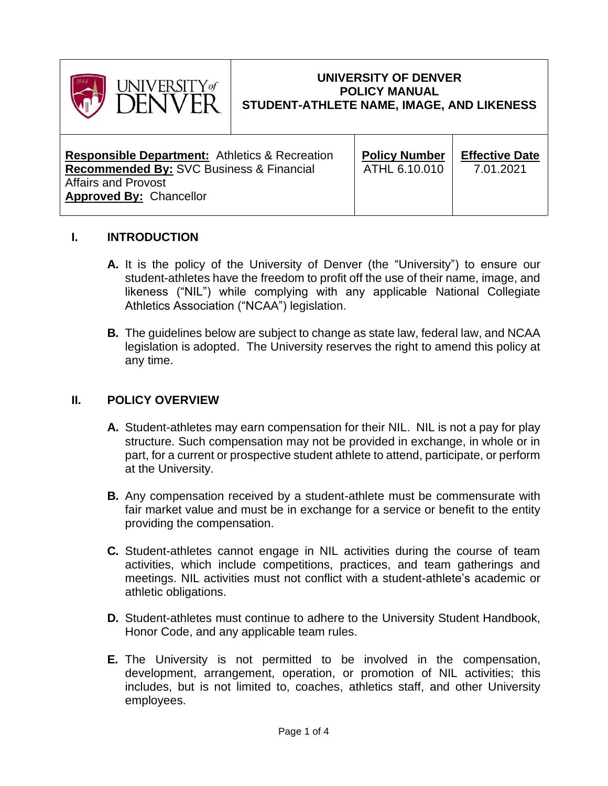

## **UNIVERSITY OF DENVER POLICY MANUAL STUDENT-ATHLETE NAME, IMAGE, AND LIKENESS**

| <b>Responsible Department:</b> Athletics & Recreation        | <b>Policy Number</b> | <b>Effective Date</b> |
|--------------------------------------------------------------|----------------------|-----------------------|
| <b>Recommended By: SVC Business &amp; Financial</b>          | ATHL 6.10.010        | 7.01.2021             |
| <b>Affairs and Provost</b><br><b>Approved By: Chancellor</b> |                      |                       |

### **I. INTRODUCTION**

- **A.** It is the policy of the University of Denver (the "University") to ensure our student-athletes have the freedom to profit off the use of their name, image, and likeness ("NIL") while complying with any applicable National Collegiate Athletics Association ("NCAA") legislation.
- **B.** The guidelines below are subject to change as state law, federal law, and NCAA legislation is adopted. The University reserves the right to amend this policy at any time.

### **II. POLICY OVERVIEW**

- **A.** Student-athletes may earn compensation for their NIL. NIL is not a pay for play structure. Such compensation may not be provided in exchange, in whole or in part, for a current or prospective student athlete to attend, participate, or perform at the University.
- **B.** Any compensation received by a student-athlete must be commensurate with fair market value and must be in exchange for a service or benefit to the entity providing the compensation.
- **C.** Student-athletes cannot engage in NIL activities during the course of team activities, which include competitions, practices, and team gatherings and meetings. NIL activities must not conflict with a student-athlete's academic or athletic obligations.
- **D.** Student-athletes must continue to adhere to the University Student Handbook, Honor Code, and any applicable team rules.
- **E.** The University is not permitted to be involved in the compensation, development, arrangement, operation, or promotion of NIL activities; this includes, but is not limited to, coaches, athletics staff, and other University employees.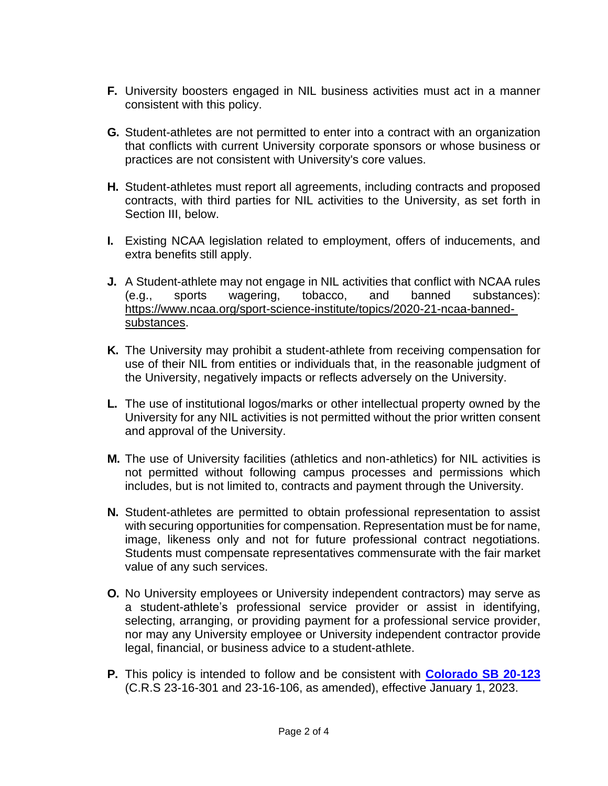- **F.** University boosters engaged in NIL business activities must act in a manner consistent with this policy.
- **G.** Student-athletes are not permitted to enter into a contract with an organization that conflicts with current University corporate sponsors or whose business or practices are not consistent with University's core values.
- **H.** Student-athletes must report all agreements, including contracts and proposed contracts, with third parties for NIL activities to the University, as set forth in Section III, below.
- **I.** Existing NCAA legislation related to employment, offers of inducements, and extra benefits still apply.
- **J.** A Student-athlete may not engage in NIL activities that conflict with NCAA rules (e.g., sports wagering, tobacco, and banned substances): https://www.ncaa.org/sport-science-institute/topics/2020-21-ncaa-bannedsubstances.
- **K.** The University may prohibit a student-athlete from receiving compensation for use of their NIL from entities or individuals that, in the reasonable judgment of the University, negatively impacts or reflects adversely on the University.
- **L.** The use of institutional logos/marks or other intellectual property owned by the University for any NIL activities is not permitted without the prior written consent and approval of the University.
- **M.** The use of University facilities (athletics and non-athletics) for NIL activities is not permitted without following campus processes and permissions which includes, but is not limited to, contracts and payment through the University.
- **N.** Student-athletes are permitted to obtain professional representation to assist with securing opportunities for compensation. Representation must be for name, image, likeness only and not for future professional contract negotiations. Students must compensate representatives commensurate with the fair market value of any such services.
- **O.** No University employees or University independent contractors) may serve as a student-athlete's professional service provider or assist in identifying, selecting, arranging, or providing payment for a professional service provider, nor may any University employee or University independent contractor provide legal, financial, or business advice to a student-athlete.
- **P.** This policy is intended to follow and be consistent with **[Colorado SB 20-123](file://///shares.du.edu/Divisions/Financial%20Affairs/Financial%20Affairs/Policies%20Word%20Version/xxx.current%20pending%20policies/ATHL%20Name%20Image%20Likeness/2020a_123_signed%20Colorado%20law.pdf)** (C.R.S 23-16-301 and 23-16-106, as amended), effective January 1, 2023.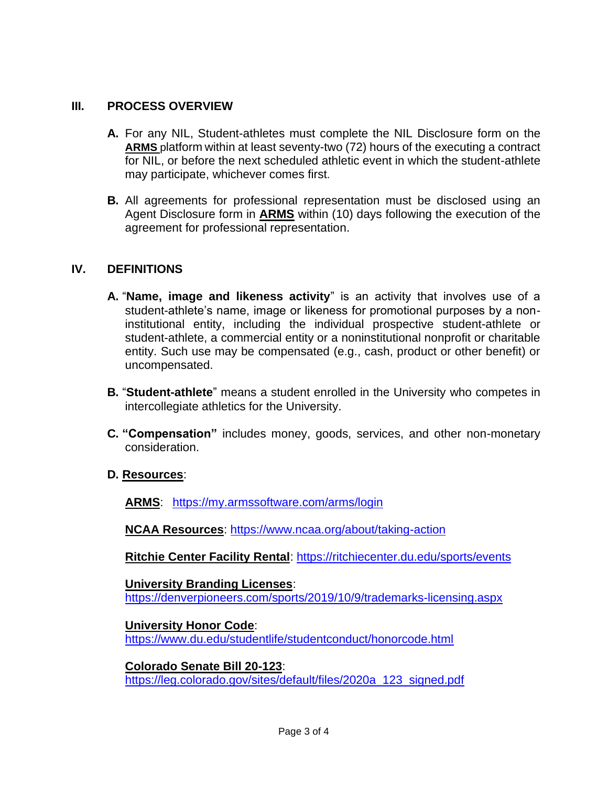# **III. PROCESS OVERVIEW**

- **A.** For any NIL, Student-athletes must complete the NIL Disclosure form on the **[ARMS](https://my.armssoftware.com/arms/login)** platform within at least seventy-two (72) hours of the executing a contract for NIL, or before the next scheduled athletic event in which the student-athlete may participate, whichever comes first.
- **B.** All agreements for professional representation must be disclosed using an Agent Disclosure form in **[ARMS](https://my.armssoftware.com/arms/login)** within (10) days following the execution of the agreement for professional representation.

### **IV. DEFINITIONS**

- **A.** "**Name, image and likeness activity**" is an activity that involves use of a student-athlete's name, image or likeness for promotional purposes by a noninstitutional entity, including the individual prospective student-athlete or student-athlete, a commercial entity or a noninstitutional nonprofit or charitable entity. Such use may be compensated (e.g., cash, product or other benefit) or uncompensated.
- **B.** "**Student-athlete**" means a student enrolled in the University who competes in intercollegiate athletics for the University.
- **C. "Compensation"** includes money, goods, services, and other non-monetary consideration.
- **D. Resources**:

**ARMS**: <https://my.armssoftware.com/arms/login>

**NCAA Resources**:<https://www.ncaa.org/about/taking-action>

**Ritchie Center Facility Rental**:<https://ritchiecenter.du.edu/sports/events>

**University Branding Licenses**: <https://denverpioneers.com/sports/2019/10/9/trademarks-licensing.aspx>

**University Honor Code**: <https://www.du.edu/studentlife/studentconduct/honorcode.html>

**Colorado Senate Bill 20-123**: [https://leg.colorado.gov/sites/default/files/2020a\\_123\\_signed.pdf](https://leg.colorado.gov/sites/default/files/2020a_123_signed.pdf)